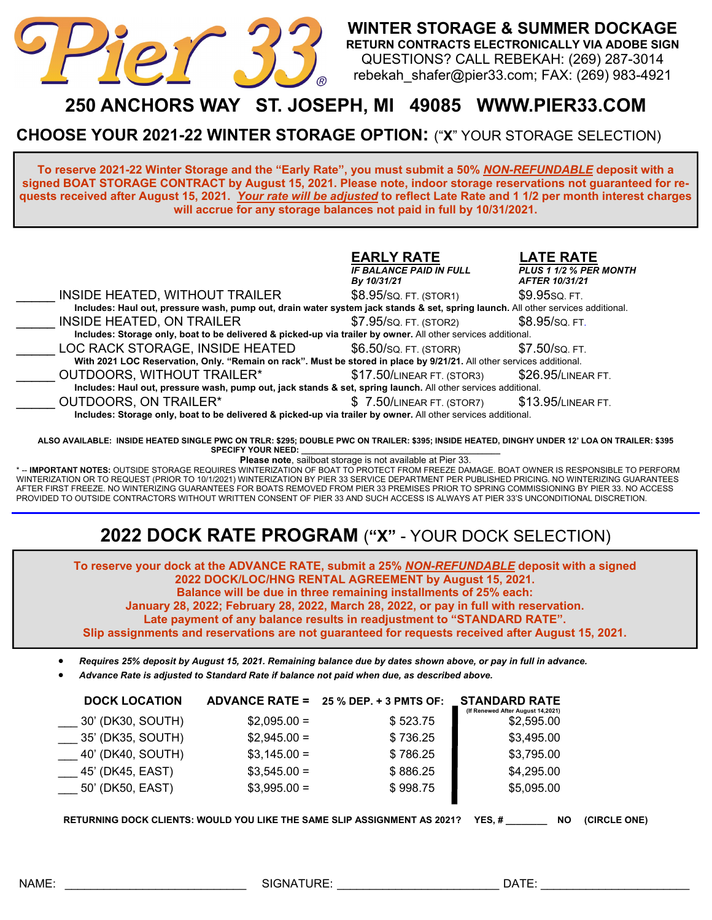

**WINTER STORAGE & SUMMER DOCKAGE RETURN CONTRACTS ELECTRONICALLY VIA ADOBE SIGN**  QUESTIONS? CALL REBEKAH: (269) 287-3014 rebekah\_shafer@pier33.com; FAX: (269) 983-4921

## **250 ANCHORS WAY ST. JOSEPH, MI 49085 WWW.PIER33.COM**

**CHOOSE YOUR 2021-22 WINTER STORAGE OPTION:** ("**X**" YOUR STORAGE SELECTION)

**To reserve 2021-22 Winter Storage and the "Early Rate", you must submit a 50%** *NON-REFUNDABLE* **deposit with a signed BOAT STORAGE CONTRACT by August 15, 2021. Please note, indoor storage reservations not guaranteed for requests received after August 15, 2021.** *Your rate will be adjusted* **to reflect Late Rate and 1 1/2 per month interest charges will accrue for any storage balances not paid in full by 10/31/2021.** 

|                                                                                                                                  | <b>EARLY RATE</b><br><b>IF BALANCE PAID IN FULL</b><br>By 10/31/21 | <b>LATE RATE</b><br><b>PLUS 1 1/2 % PER MONTH</b><br><b>AFTER 10/31/21</b> |
|----------------------------------------------------------------------------------------------------------------------------------|--------------------------------------------------------------------|----------------------------------------------------------------------------|
| INSIDE HEATED, WITHOUT TRAILER                                                                                                   | \$8.95/SQ FT. (STOR1)                                              | \$9.95sq FT.                                                               |
| Includes: Haul out, pressure wash, pump out, drain water system jack stands & set, spring launch. All other services additional. |                                                                    |                                                                            |
| <b>INSIDE HEATED, ON TRAILER</b>                                                                                                 | \$7.95/SQ FT. (STOR2)                                              | \$8.95/SQ. FT.                                                             |
| Includes: Storage only, boat to be delivered & picked-up via trailer by owner. All other services additional.                    |                                                                    |                                                                            |
| LOC RACK STORAGE, INSIDE HEATED                                                                                                  | \$6.50/sq. FT. (STORR)                                             | \$7.50/sq. FT.                                                             |
| With 2021 LOC Reservation, Only. "Remain on rack". Must be stored in place by 9/21/21. All other services additional.            |                                                                    |                                                                            |
| OUTDOORS, WITHOUT TRAILER*                                                                                                       | \$17.50/LINEAR FT. (STOR3)                                         | \$26.95/LINEAR FT.                                                         |
| Includes: Haul out, pressure wash, pump out, jack stands & set, spring launch. All other services additional.                    |                                                                    |                                                                            |
| OUTDOORS, ON TRAILER*                                                                                                            | \$7.50/LINEAR FT. (STOR7)                                          | \$13.95/LINEAR FT.                                                         |
| Includes: Storage only, boat to be delivered & picked-up via trailer by owner. All other services additional.                    |                                                                    |                                                                            |

**ALSO AVAILABLE: INSIDE HEATED SINGLE PWC ON TRLR: \$295; DOUBLE PWC ON TRAILER: \$395; INSIDE HEATED, DINGHY UNDER 12' LOA ON TRAILER: \$395**  SPECIFY YOUR NEED:

**Please note**, sailboat storage is not available at Pier 33.

\* -- **IMPORTANT NOTES:** OUTSIDE STORAGE REQUIRES WINTERIZATION OF BOAT TO PROTECT FROM FREEZE DAMAGE. BOAT OWNER IS RESPONSIBLE TO PERFORM WINTERIZATION OR TO REQUEST (PRIOR TO 10/1/2021) WINTERIZATION BY PIER 33 SERVICE DEPARTMENT PER PUBLISHED PRICING. NO WINTERIZING GUARANTEES AFTER FIRST FREEZE. NO WINTERIZING GUARANTEES FOR BOATS REMOVED FROM PIER 33 PREMISES PRIOR TO SPRING COMMISSIONING BY PIER 33. NO ACCESS PROVIDED TO OUTSIDE CONTRACTORS WITHOUT WRITTEN CONSENT OF PIER 33 AND SUCH ACCESS IS ALWAYS AT PIER 33'S UNCONDITIONAL DISCRETION.

## **2022 DOCK RATE PROGRAM** (**"X"** - YOUR DOCK SELECTION)

**To reserve your dock at the ADVANCE RATE, submit a 25%** *NON-REFUNDABLE* **deposit with a signed 2022 DOCK/LOC/HNG RENTAL AGREEMENT by August 15, 2021. Balance will be due in three remaining installments of 25% each:** 

**January 28, 2022; February 28, 2022, March 28, 2022, or pay in full with reservation.** 

**Late payment of any balance results in readjustment to "STANDARD RATE".** 

**Slip assignments and reservations are not guaranteed for requests received after August 15, 2021.** 

*Requires 25% deposit by August 15, 2021. Remaining balance due by dates shown above, or pay in full in advance.* 

*Advance Rate is adjusted to Standard Rate if balance not paid when due, as described above.* 

| <b>DOCK LOCATION</b> |               | ADVANCE RATE = $25\%$ DEP. + 3 PMTS OF: | <b>STANDARD RATE</b><br>(If Renewed After August 14,2021) |
|----------------------|---------------|-----------------------------------------|-----------------------------------------------------------|
| 30' (DK30, SOUTH)    | $$2,095.00 =$ | \$523.75                                | \$2,595.00                                                |
| 35' (DK35, SOUTH)    | $$2,945.00 =$ | \$736.25                                | \$3,495.00                                                |
| 40' (DK40, SOUTH)    | $$3,145.00 =$ | \$786.25                                | \$3,795.00                                                |
| 45' (DK45, EAST)     | $$3,545.00 =$ | \$886.25                                | \$4,295.00                                                |
| 50' (DK50, EAST)     | $$3,995.00 =$ | \$998.75                                | \$5,095.00                                                |
|                      |               |                                         |                                                           |

**RETURNING DOCK CLIENTS: WOULD YOU LIKE THE SAME SLIP ASSIGNMENT AS 2021? YES, # \_\_\_\_\_\_\_\_ NO (CIRCLE ONE)**

NAME: \_\_\_\_\_\_\_\_\_\_\_\_\_\_\_\_\_\_\_\_\_\_\_\_\_\_\_\_ SIGNATURE: \_\_\_\_\_\_\_\_\_\_\_\_\_\_\_\_\_\_\_\_\_\_\_\_\_ DATE: \_\_\_\_\_\_\_\_\_\_\_\_\_\_\_\_\_\_\_\_\_\_\_